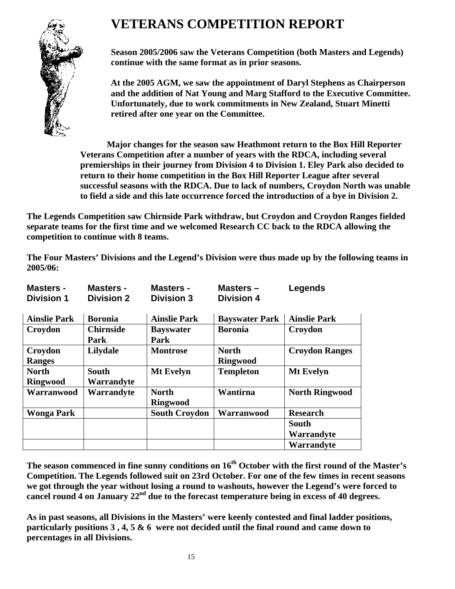# **VETERANS COMPETITION REPORT**



**Season 2005/2006 saw the Veterans Competition (both Masters and Legends) continue with the same format as in prior seasons.** 

**At the 2005 AGM, we saw the appointment of Daryl Stephens as Chairperson and the addition of Nat Young and Marg Stafford to the Executive Committee. Unfortunately, due to work commitments in New Zealand, Stuart Minetti retired after one year on the Committee.** 

**Major changes for the season saw Heathmont return to the Box Hill Reporter Veterans Competition after a number of years with the RDCA, including several premierships in their journey from Division 4 to Division 1. Eley Park also decided to return to their home competition in the Box Hill Reporter League after several successful seasons with the RDCA. Due to lack of numbers, Croydon North was unable to field a side and this late occurrence forced the introduction of a bye in Division 2.** 

**The Legends Competition saw Chirnside Park withdraw, but Croydon and Croydon Ranges fielded separate teams for the first time and we welcomed Research CC back to the RDCA allowing the competition to continue with 8 teams.** 

**The Four Masters' Divisions and the Legend's Division were thus made up by the following teams in 2005/06:** 

| <b>Masters -</b><br><b>Division 1</b> | Masters -<br><b>Division 2</b> | <b>Masters -</b><br><b>Division 3</b> | Masters $-$<br><b>Division 4</b> | Legends                    |
|---------------------------------------|--------------------------------|---------------------------------------|----------------------------------|----------------------------|
| <b>Ainslie Park</b>                   | <b>Boronia</b>                 | <b>Ainslie Park</b>                   | <b>Bayswater Park</b>            | <b>Ainslie Park</b>        |
| Croydon                               | <b>Chirnside</b><br>Park       | <b>Bayswater</b><br>Park              | <b>Boronia</b>                   | Croydon                    |
| Croydon<br><b>Ranges</b>              | Lilydale                       | <b>Montrose</b>                       | <b>North</b><br><b>Ringwood</b>  | <b>Croydon Ranges</b>      |
| <b>North</b><br><b>Ringwood</b>       | <b>South</b><br>Warrandyte     | Mt Evelyn                             | <b>Templeton</b>                 | <b>Mt Evelyn</b>           |
| Warranwood                            | Warrandyte                     | <b>North</b><br><b>Ringwood</b>       | Wantirna                         | <b>North Ringwood</b>      |
| Wonga Park                            |                                | <b>South Croydon</b>                  | Warranwood                       | <b>Research</b>            |
|                                       |                                |                                       |                                  | <b>South</b><br>Warrandyte |
|                                       |                                |                                       |                                  | Warrandyte                 |

**The season commenced in fine sunny conditions on 16th October with the first round of the Master's Competition. The Legends followed suit on 23rd October. For one of the few times in recent seasons we got through the year without losing a round to washouts, however the Legend's were forced to cancel round 4 on January 22nd due to the forecast temperature being in excess of 40 degrees.** 

**As in past seasons, all Divisions in the Masters' were keenly contested and final ladder positions, particularly positions 3 , 4, 5 & 6 were not decided until the final round and came down to percentages in all Divisions.**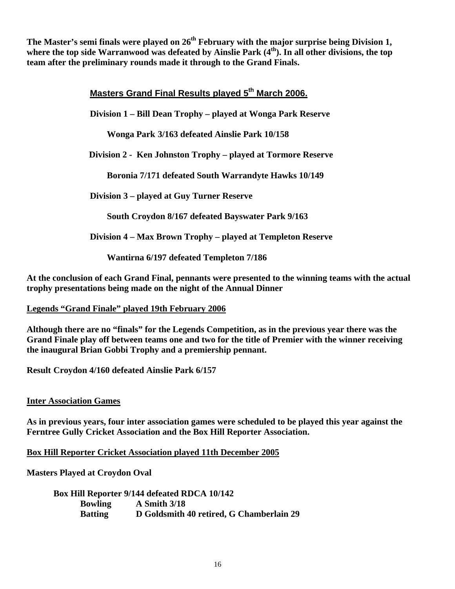The Master's semi finals were played on 26<sup>th</sup> February with the major surprise being Division 1, where the top side Warranwood was defeated by Ainslie Park (4<sup>th</sup>). In all other divisions, the top **team after the preliminary rounds made it through to the Grand Finals.** 

## **Masters Grand Final Results played 5th March 2006.**

**Division 1 – Bill Dean Trophy – played at Wonga Park Reserve** 

**Wonga Park 3/163 defeated Ainslie Park 10/158** 

 **Division 2 - Ken Johnston Trophy – played at Tormore Reserve** 

**Boronia 7/171 defeated South Warrandyte Hawks 10/149** 

**Division 3 – played at Guy Turner Reserve**

**South Croydon 8/167 defeated Bayswater Park 9/163** 

**Division 4 – Max Brown Trophy – played at Templeton Reserve** 

 **Wantirna 6/197 defeated Templeton 7/186**

**At the conclusion of each Grand Final, pennants were presented to the winning teams with the actual trophy presentations being made on the night of the Annual Dinner** 

#### **Legends "Grand Finale" played 19th February 2006**

**Although there are no "finals" for the Legends Competition, as in the previous year there was the Grand Finale play off between teams one and two for the title of Premier with the winner receiving the inaugural Brian Gobbi Trophy and a premiership pennant.** 

**Result Croydon 4/160 defeated Ainslie Park 6/157** 

#### **Inter Association Games**

**As in previous years, four inter association games were scheduled to be played this year against the Ferntree Gully Cricket Association and the Box Hill Reporter Association.** 

**Box Hill Reporter Cricket Association played 11th December 2005**

**Masters Played at Croydon Oval** 

 **Box Hill Reporter 9/144 defeated RDCA 10/142 Bowling A Smith 3/18 Batting D Goldsmith 40 retired, G Chamberlain 29**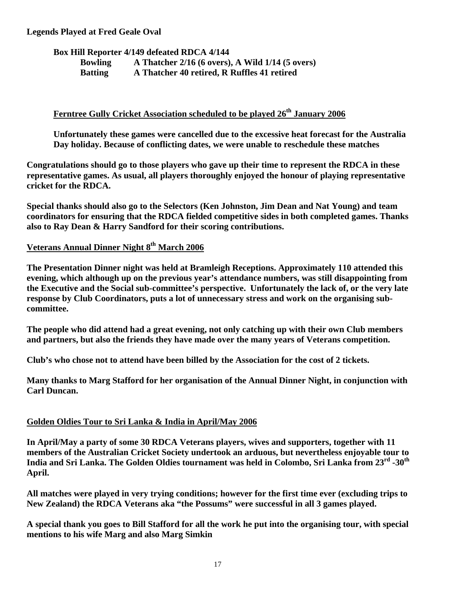#### **Legends Played at Fred Geale Oval**

**Box Hill Reporter 4/149 defeated RDCA 4/144** 

| <b>Bowling</b> | A Thatcher $2/16$ (6 overs), A Wild $1/14$ (5 overs) |
|----------------|------------------------------------------------------|
| <b>Batting</b> | A Thatcher 40 retired, R Ruffles 41 retired          |

## **Ferntree Gully Cricket Association scheduled to be played 26th January 2006**

**Unfortunately these games were cancelled due to the excessive heat forecast for the Australia Day holiday. Because of conflicting dates, we were unable to reschedule these matches** 

**Congratulations should go to those players who gave up their time to represent the RDCA in these representative games. As usual, all players thoroughly enjoyed the honour of playing representative cricket for the RDCA.** 

**Special thanks should also go to the Selectors (Ken Johnston, Jim Dean and Nat Young) and team coordinators for ensuring that the RDCA fielded competitive sides in both completed games. Thanks also to Ray Dean & Harry Sandford for their scoring contributions.** 

# Veterans Annual Dinner Night 8<sup>th</sup> March 2006

**The Presentation Dinner night was held at Bramleigh Receptions. Approximately 110 attended this evening, which although up on the previous year's attendance numbers, was still disappointing from the Executive and the Social sub-committee's perspective. Unfortunately the lack of, or the very late response by Club Coordinators, puts a lot of unnecessary stress and work on the organising subcommittee.** 

**The people who did attend had a great evening, not only catching up with their own Club members and partners, but also the friends they have made over the many years of Veterans competition.** 

**Club's who chose not to attend have been billed by the Association for the cost of 2 tickets.** 

**Many thanks to Marg Stafford for her organisation of the Annual Dinner Night, in conjunction with Carl Duncan.** 

### **Golden Oldies Tour to Sri Lanka & India in April/May 2006**

**In April/May a party of some 30 RDCA Veterans players, wives and supporters, together with 11 members of the Australian Cricket Society undertook an arduous, but nevertheless enjoyable tour to India and Sri Lanka. The Golden Oldies tournament was held in Colombo, Sri Lanka from 23rd -30th April.** 

**All matches were played in very trying conditions; however for the first time ever (excluding trips to New Zealand) the RDCA Veterans aka "the Possums" were successful in all 3 games played.** 

**A special thank you goes to Bill Stafford for all the work he put into the organising tour, with special mentions to his wife Marg and also Marg Simkin**